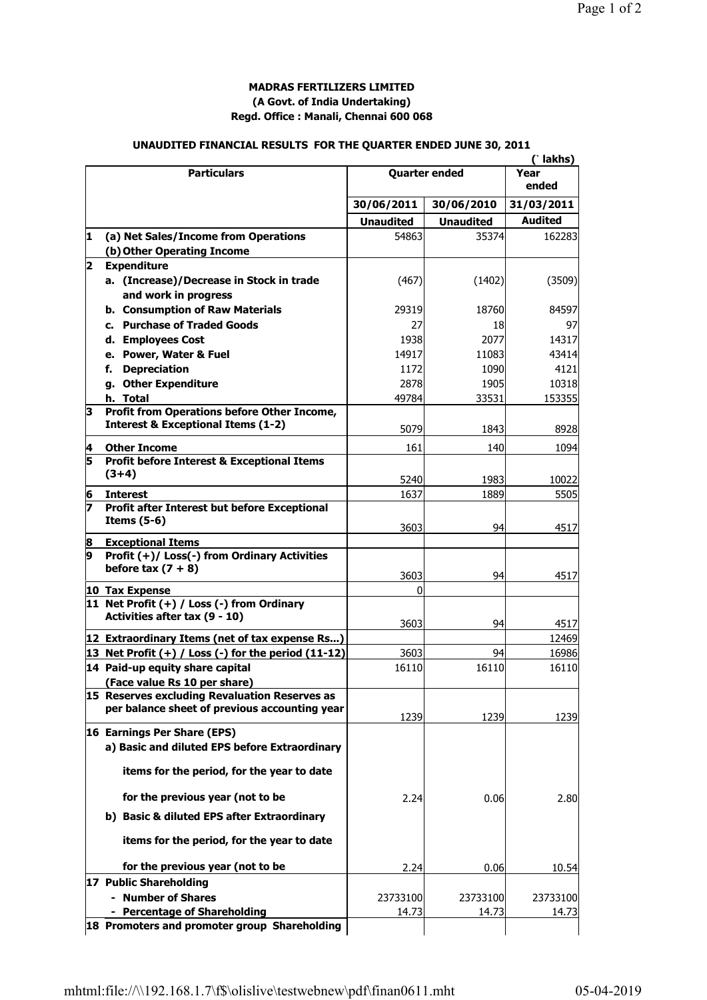## **MADRAS FERTILIZERS LIMITED (A Govt. of India Undertaking) Regd. Office : Manali, Chennai 600 068**

## **UNAUDITED FINANCIAL RESULTS FOR THE QUARTER ENDED JUNE 30, 2011**

|              | <b>Particulars</b>                                                   | <b>Quarter ended</b> |                  | (`lakhs)<br>Year<br>ended |
|--------------|----------------------------------------------------------------------|----------------------|------------------|---------------------------|
|              |                                                                      |                      |                  |                           |
|              |                                                                      | 30/06/2011           | 30/06/2010       | 31/03/2011                |
|              |                                                                      | <b>Unaudited</b>     | <b>Unaudited</b> | <b>Audited</b>            |
| 11.          | (a) Net Sales/Income from Operations                                 | 54863                | 35374            | 162283                    |
|              | (b) Other Operating Income                                           |                      |                  |                           |
| $\mathbf{2}$ | <b>Expenditure</b>                                                   |                      |                  |                           |
|              | a. (Increase)/Decrease in Stock in trade                             | (467)                | (1402)           | (3509)                    |
|              | and work in progress                                                 |                      |                  |                           |
|              | b. Consumption of Raw Materials                                      | 29319                | 18760            | 84597                     |
|              | c. Purchase of Traded Goods                                          | 27                   | 18               | 97                        |
|              | d. Employees Cost                                                    | 1938                 | 2077             | 14317                     |
|              | e. Power, Water & Fuel                                               | 14917                | 11083            | 43414                     |
|              | <b>Depreciation</b><br>f.                                            | 1172                 | 1090             | 4121                      |
|              | g. Other Expenditure                                                 | 2878                 | 1905             | 10318                     |
|              | h. Total                                                             | 49784                | 33531            | 153355                    |
| 3            | Profit from Operations before Other Income,                          |                      |                  |                           |
|              | <b>Interest &amp; Exceptional Items (1-2)</b>                        | 5079                 | 1843             | 8928                      |
| 4            | <b>Other Income</b>                                                  | 161                  | 140              | 1094                      |
| 5            | <b>Profit before Interest &amp; Exceptional Items</b>                |                      |                  |                           |
|              | $(3+4)$                                                              |                      |                  |                           |
|              |                                                                      | 5240                 | 1983             | 10022                     |
| 6            | <b>Interest</b>                                                      | 1637                 | 1889             | 5505                      |
| 7            | Profit after Interest but before Exceptional                         |                      |                  |                           |
|              | Items $(5-6)$                                                        | 3603                 | 94               | 4517                      |
| 8            | <b>Exceptional Items</b>                                             |                      |                  |                           |
| 9            | Profit (+)/ Loss(-) from Ordinary Activities<br>before tax $(7 + 8)$ | 3603                 | 94               | 4517                      |
|              | 10 Tax Expense                                                       | 0                    |                  |                           |
|              | 11 Net Profit $(+)$ / Loss $(-)$ from Ordinary                       |                      |                  |                           |
|              | Activities after tax (9 - 10)                                        |                      |                  |                           |
|              |                                                                      | 3603                 | 94               | 4517                      |
|              | 12 Extraordinary Items (net of tax expense Rs)                       |                      |                  | 12469                     |
|              | 13 Net Profit $(+)$ / Loss $(-)$ for the period $(11-12)$            | 3603                 | 94               | 16986                     |
|              | 14 Paid-up equity share capital                                      | 16110                | 16110            | 16110                     |
|              | (Face value Rs 10 per share)                                         |                      |                  |                           |
|              | 15 Reserves excluding Revaluation Reserves as                        |                      |                  |                           |
|              | per balance sheet of previous accounting year                        | 1239                 | 1239             | 1239                      |
|              | 16 Earnings Per Share (EPS)                                          |                      |                  |                           |
|              | a) Basic and diluted EPS before Extraordinary                        |                      |                  |                           |
|              | items for the period, for the year to date                           |                      |                  |                           |
|              | for the previous year (not to be                                     | 2.24                 | 0.06             | <b>2.80</b>               |
|              | b) Basic & diluted EPS after Extraordinary                           |                      |                  |                           |
|              | items for the period, for the year to date                           |                      |                  |                           |
|              | for the previous year (not to be                                     | 2.24                 | 0.06             |                           |
|              |                                                                      |                      |                  | 10.54                     |
|              | 17 Public Shareholding                                               |                      |                  |                           |
|              | - Number of Shares                                                   | 23733100             | 23733100         | 23733100                  |
|              | - Percentage of Shareholding                                         | 14.73                | 14.73            | 14.73                     |
|              | 18 Promoters and promoter group Shareholding                         |                      |                  |                           |